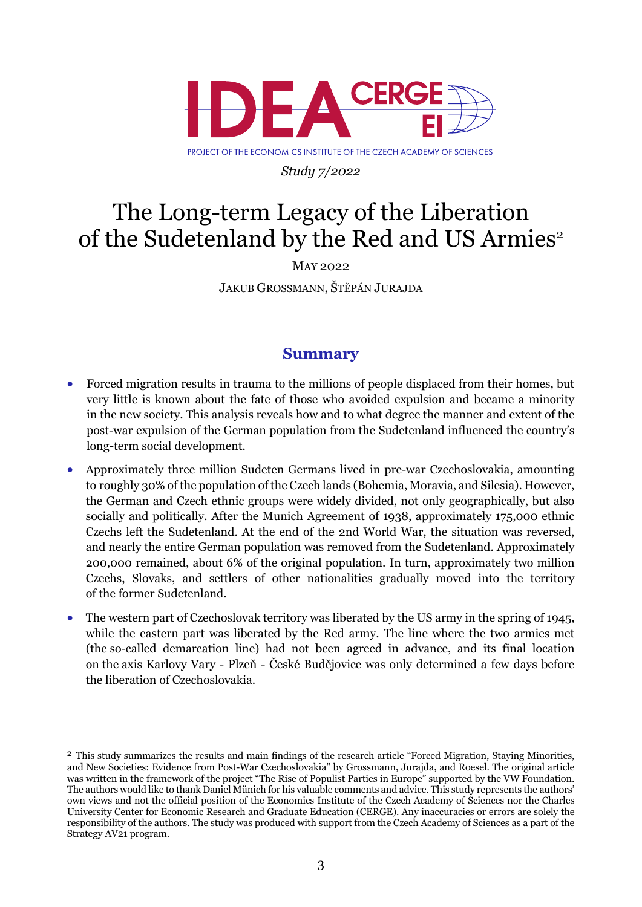

PROJECT OF THE ECONOMICS INSTITUTE OF THE CZECH ACADEMY OF SCIENCES

*Study 7/2022*

## The Long-term Legacy of the Liberation of the Sudetenland by the Red and US Armies<sup>2</sup>

MAY 2022

JAKUB GROSSMANN, ŠTĚPÁN JURAJDA

## **Summary**

- Forced migration results in trauma to the millions of people displaced from their homes, but very little is known about the fate of those who avoided expulsion and became a minority in the new society. This analysis reveals how and to what degree the manner and extent of the post-war expulsion of the German population from the Sudetenland influenced the country's long-term social development.
- Approximately three million Sudeten Germans lived in pre-war Czechoslovakia, amounting to roughly 30% of the population of the Czech lands (Bohemia, Moravia, and Silesia). However, the German and Czech ethnic groups were widely divided, not only geographically, but also socially and politically. After the Munich Agreement of 1938, approximately 175,000 ethnic Czechs left the Sudetenland. At the end of the 2nd World War, the situation was reversed, and nearly the entire German population was removed from the Sudetenland. Approximately 200,000 remained, about 6% of the original population. In turn, approximately two million Czechs, Slovaks, and settlers of other nationalities gradually moved into the territory of the former Sudetenland.
- The western part of Czechoslovak territory was liberated by the US army in the spring of 1945, while the eastern part was liberated by the Red army. The line where the two armies met (the so-called demarcation line) had not been agreed in advance, and its final location on the axis Karlovy Vary - Plzeň - České Budějovice was only determined a few days before the liberation of Czechoslovakia.

<sup>2</sup> This study summarizes the results and main findings of the research article "Forced Migration, Staying Minorities, and New Societies: Evidence from Post-War Czechoslovakia" by Grossmann, Jurajda, and Roesel. The original article was written in the framework of the project "The Rise of Populist Parties in Europe" supported by the VW Foundation. The authors would like to thank Daniel Münich for his valuable comments and advice. This study represents the authors' own views and not the official position of the Economics Institute of the Czech Academy of Sciences nor the Charles University Center for Economic Research and Graduate Education (CERGE). Any inaccuracies or errors are solely the responsibility of the authors. The study was produced with support from the Czech Academy of Sciences as a part of the Strategy AV21 program.